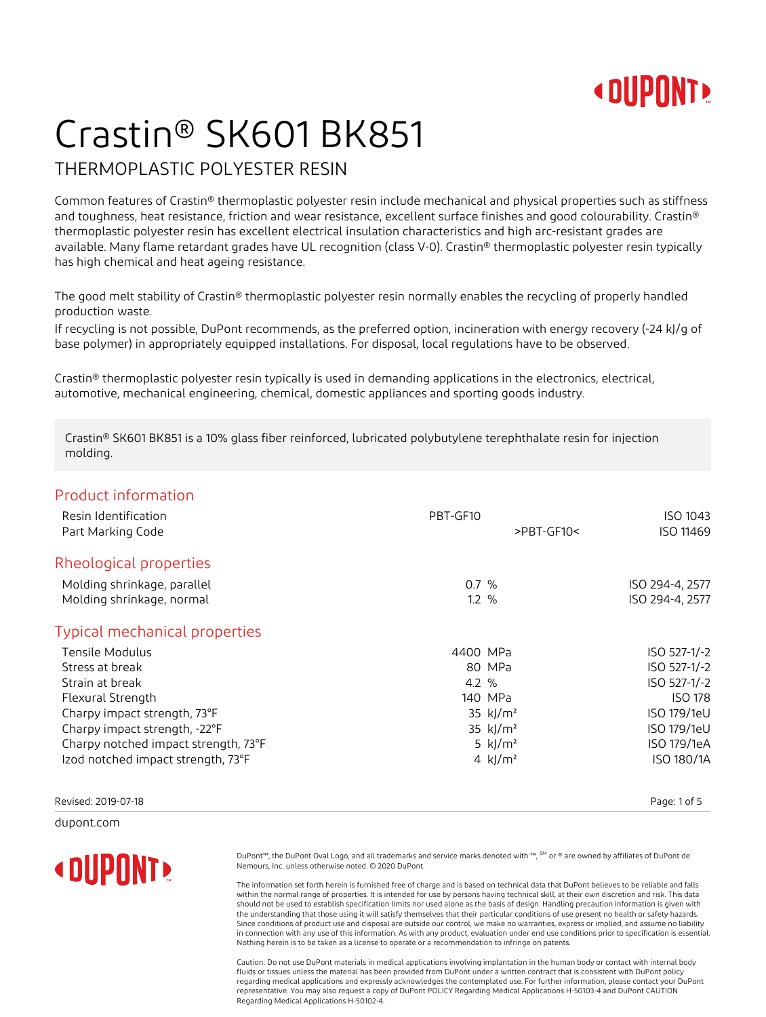### **« DUPONT!**

# Crastin® SK601 BK851

#### THERMOPLASTIC POLYESTER RESIN

Common features of Crastin® thermoplastic polyester resin include mechanical and physical properties such as stiffness and toughness, heat resistance, friction and wear resistance, excellent surface finishes and good colourability. Crastin® thermoplastic polyester resin has excellent electrical insulation characteristics and high arc-resistant grades are available. Many flame retardant grades have UL recognition (class V-0). Crastin® thermoplastic polyester resin typically has high chemical and heat ageing resistance.

The good melt stability of Crastin® thermoplastic polyester resin normally enables the recycling of properly handled production waste.

If recycling is not possible, DuPont recommends, as the preferred option, incineration with energy recovery (-24 kJ/g of base polymer) in appropriately equipped installations. For disposal, local regulations have to be observed.

Crastin® thermoplastic polyester resin typically is used in demanding applications in the electronics, electrical, automotive, mechanical engineering, chemical, domestic appliances and sporting goods industry.

Crastin® SK601 BK851 is a 10% glass fiber reinforced, lubricated polybutylene terephthalate resin for injection molding.

#### Product information

| Resin Identification<br>Part Marking Code | PBT-GF10<br>$>$ PBT-GF10< | ISO 1043<br>ISO 11469 |
|-------------------------------------------|---------------------------|-----------------------|
| Rheological properties                    |                           |                       |
| Molding shrinkage, parallel               | $0.7 \%$                  | ISO 294-4, 2577       |
| Molding shrinkage, normal                 | $1.2 \%$                  | ISO 294-4, 2577       |
| <b>Typical mechanical properties</b>      |                           |                       |
| Tensile Modulus                           | 4400 MPa                  | ISO 527-1/-2          |
| Stress at break                           | 80 MPa                    | ISO 527-1/-2          |
| Strain at break                           | $4.2 \%$                  | ISO 527-1/-2          |
| Flexural Strength                         | 140 MPa                   | <b>ISO 178</b>        |
| Charpy impact strength, 73°F              | 35 kJ/m <sup>2</sup>      | ISO 179/1eU           |
| Charpy impact strength, -22°F             | 35 kJ/m <sup>2</sup>      | ISO 179/1eU           |
| Charpy notched impact strength, 73°F      | 5 $k$ $/m2$               | ISO 179/1eA           |
| Izod notched impact strength, 73°F        | 4 kJ/m <sup>2</sup>       | ISO 180/1A            |
|                                           |                           |                       |

Revised: 2019-07-18 Page: 1 of 5

dupont.com

### **« DIIPNNT»**

DuPont™, the DuPont Oval Logo, and all trademarks and service marks denoted with ™, SM or ® are owned by affiliates of DuPont de Nemours, Inc. unless otherwise noted. © 2020 DuPont.

The information set forth herein is furnished free of charge and is based on technical data that DuPont believes to be reliable and falls within the normal range of properties. It is intended for use by persons having technical skill, at their own discretion and risk. This data should not be used to establish specification limits nor used alone as the basis of design. Handling precaution information is given with the understanding that those using it will satisfy themselves that their particular conditions of use present no health or safety hazards. Since conditions of product use and disposal are outside our control, we make no warranties, express or implied, and assume no liability in connection with any use of this information. As with any product, evaluation under end use conditions prior to specification is essential. Nothing herein is to be taken as a license to operate or a recommendation to infringe on patents.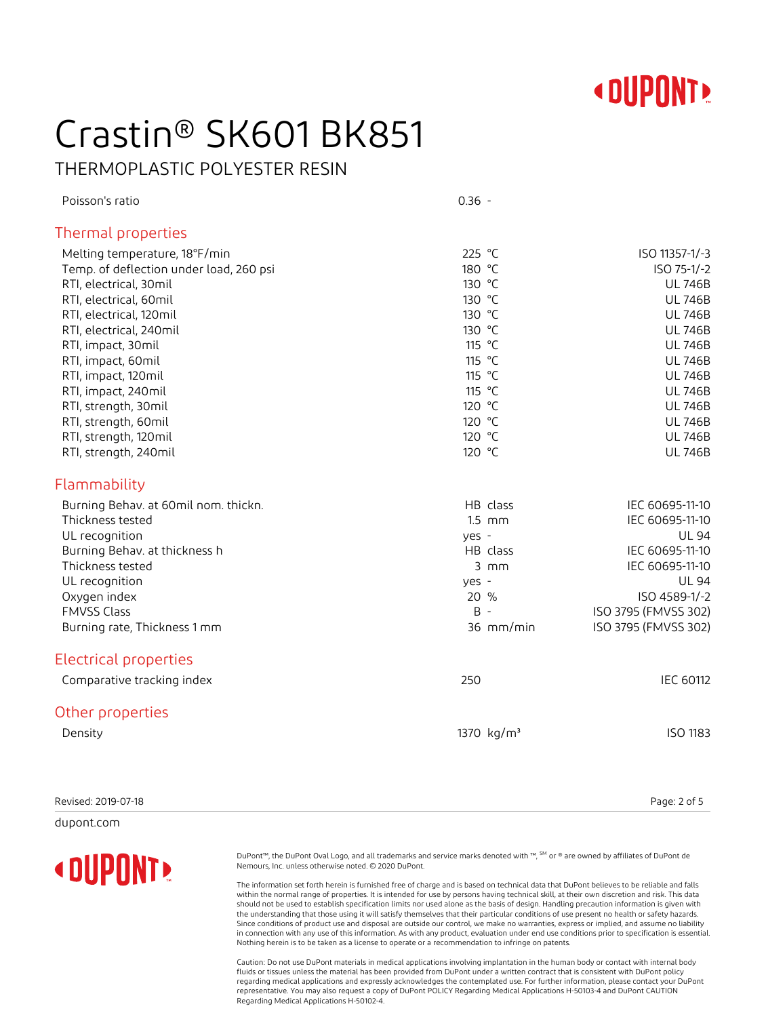

# Crastin® SK601 BK851

THERMOPLASTIC POLYESTER RESIN

| Poisson's ratio                               | $0.36 -$               |                                              |
|-----------------------------------------------|------------------------|----------------------------------------------|
| <b>Thermal properties</b>                     |                        |                                              |
| Melting temperature, 18°F/min                 | 225 °C                 | ISO 11357-1/-3                               |
| Temp. of deflection under load, 260 psi       | 180 °C                 | ISO 75-1/-2                                  |
| RTI, electrical, 30mil                        | 130 °C                 | <b>UL 746B</b>                               |
| RTI, electrical, 60mil                        | 130 °C                 | <b>UL 746B</b>                               |
| RTI, electrical, 120mil                       | 130 °C                 | <b>UL 746B</b>                               |
| RTI, electrical, 240mil                       | 130 °C                 | <b>UL 746B</b>                               |
| RTI, impact, 30mil                            | 115 °C                 | <b>UL 746B</b>                               |
| RTI, impact, 60mil                            | 115 °C                 | <b>UL 746B</b>                               |
| RTI, impact, 120mil                           | 115 °C                 | <b>UL 746B</b>                               |
| RTI, impact, 240mil                           | 115 °C                 | <b>UL 746B</b>                               |
| RTI, strength, 30mil                          | 120 °C                 | <b>UL 746B</b>                               |
| RTI, strength, 60mil<br>RTI, strength, 120mil | 120 °C<br>120 °C       | <b>UL 746B</b><br><b>UL 746B</b>             |
| RTI, strength, 240mil                         | 120 °C                 | <b>UL 746B</b>                               |
|                                               |                        |                                              |
| Flammability                                  |                        |                                              |
| Burning Behav. at 60mil nom. thickn.          | HB class               | IEC 60695-11-10                              |
| Thickness tested                              | $1.5$ mm               | IEC 60695-11-10                              |
| UL recognition                                | yes -                  | <b>UL 94</b>                                 |
| Burning Behav. at thickness h                 | HB class               | IEC 60695-11-10                              |
| Thickness tested                              | $3$ mm                 | IEC 60695-11-10                              |
| UL recognition                                | yes -                  | <b>UL 94</b>                                 |
| Oxygen index                                  | 20 %<br>$B -$          | ISO 4589-1/-2                                |
| <b>FMVSS Class</b>                            | 36 mm/min              | ISO 3795 (FMVSS 302)<br>ISO 3795 (FMVSS 302) |
| Burning rate, Thickness 1 mm                  |                        |                                              |
| <b>Electrical properties</b>                  |                        |                                              |
| Comparative tracking index                    | 250                    | <b>IEC 60112</b>                             |
| Other properties                              |                        |                                              |
| Density                                       | 1370 kg/m <sup>3</sup> | <b>ISO 1183</b>                              |
|                                               |                        |                                              |
|                                               |                        |                                              |
|                                               |                        |                                              |

Revised: 2019-07-18 Page: 2 of 5

dupont.com

### **« DUPONT!**

DuPont™, the DuPont Oval Logo, and all trademarks and service marks denoted with ™, SM or ® are owned by affiliates of DuPont de Nemours, Inc. unless otherwise noted. © 2020 DuPont.

The information set forth herein is furnished free of charge and is based on technical data that DuPont believes to be reliable and falls within the normal range of properties. It is intended for use by persons having technical skill, at their own discretion and risk. This data should not be used to establish specification limits nor used alone as the basis of design. Handling precaution information is given with the understanding that those using it will satisfy themselves that their particular conditions of use present no health or safety hazards. Since conditions of product use and disposal are outside our control, we make no warranties, express or implied, and assume no liability in connection with any use of this information. As with any product, evaluation under end use conditions prior to specification is essential. Nothing herein is to be taken as a license to operate or a recommendation to infringe on patents.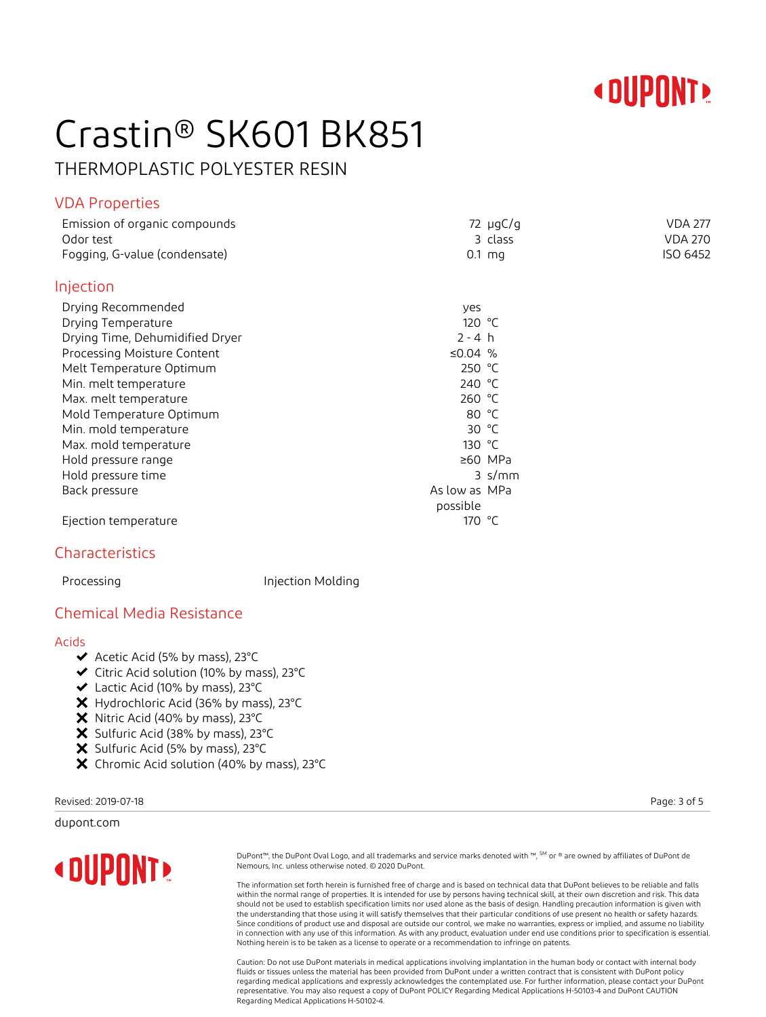

# Crastin® SK601 BK851

THERMOPLASTIC POLYESTER RESIN

#### VDA Properties

| Emission of organic compounds   |                 | $72 \mu gC/g$ | <b>VDA 277</b> |
|---------------------------------|-----------------|---------------|----------------|
| Odor test                       |                 | 3 class       | <b>VDA 270</b> |
| Fogging, G-value (condensate)   |                 | $0.1$ mg      | ISO 6452       |
| Injection                       |                 |               |                |
| Drying Recommended              | yes             |               |                |
| Drying Temperature              | 120 $\degree$ C |               |                |
| Drying Time, Dehumidified Dryer | $2 - 4 h$       |               |                |
| Processing Moisture Content     | ≤0.04 $%$       |               |                |
| Melt Temperature Optimum        | 250 $°C$        |               |                |
| Min. melt temperature           | 240 °C          |               |                |
| Max. melt temperature           | 260 °C          |               |                |
| Mold Temperature Optimum        | 80 $°C$         |               |                |
| Min. mold temperature           | 30 $°C$         |               |                |
| Max. mold temperature           | 130 $\degree$ C |               |                |
| Hold pressure range             |                 | ≥60 MPa       |                |
| Hold pressure time              |                 | $3 \,$ s/mm   |                |
| Back pressure                   | As low as MPa   |               |                |
|                                 | possible        |               |                |
| Ejection temperature            | 170 °C          |               |                |
|                                 |                 |               |                |

#### Characteristics

Processing **Injection Molding** 

#### Chemical Media Resistance

#### Acids

- $\blacktriangleright$  Acetic Acid (5% by mass), 23°C
- Citric Acid solution (10% by mass), 23°C
- Lactic Acid (10% by mass), 23°C
- X Hydrochloric Acid (36% by mass), 23°C
- $\boldsymbol{\times}$  Nitric Acid (40% by mass), 23°C
- X Sulfuric Acid (38% by mass), 23°C
- $\boldsymbol{\times}$  Sulfuric Acid (5% by mass), 23°C
- X Chromic Acid solution (40% by mass), 23°C

Revised: 2019-07-18 Page: 3 of 5

dupont.com



DuPont™, the DuPont Oval Logo, and all trademarks and service marks denoted with ™, SM or ® are owned by affiliates of DuPont de Nemours, Inc. unless otherwise noted. © 2020 DuPont.

The information set forth herein is furnished free of charge and is based on technical data that DuPont believes to be reliable and falls within the normal range of properties. It is intended for use by persons having technical skill, at their own discretion and risk. This data should not be used to establish specification limits nor used alone as the basis of design. Handling precaution information is given with the understanding that those using it will satisfy themselves that their particular conditions of use present no health or safety hazards. Since conditions of product use and disposal are outside our control, we make no warranties, express or implied, and assume no liability in connection with any use of this information. As with any product, evaluation under end use conditions prior to specification is essential. Nothing herein is to be taken as a license to operate or a recommendation to infringe on patents.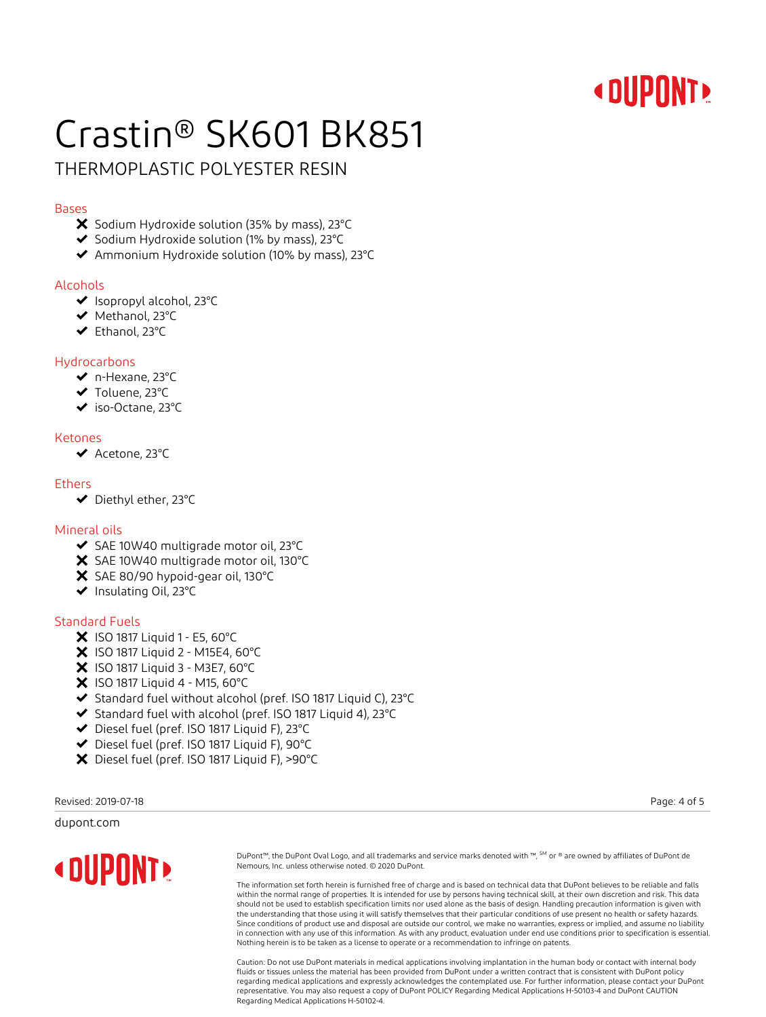### **« DUPONT!**

# Crastin® SK601 BK851

#### THERMOPLASTIC POLYESTER RESIN

#### Bases

- X Sodium Hydroxide solution (35% by mass), 23°C
- $\blacktriangleright$  Sodium Hydroxide solution (1% by mass), 23°C
- Ammonium Hydroxide solution (10% by mass), 23°C

#### Alcohols

- ◆ Isopropyl alcohol, 23°C
- ◆ Methanol, 23°C
- Ethanol, 23°C

#### Hydrocarbons

- n-Hexane, 23°C
- ◆ Toluene, 23°C
- iso-Octane, 23°C

#### Ketones

◆ Acetone, 23°C

#### **Ethers**

Diethyl ether, 23°C

#### Mineral oils

- ◆ SAE 10W40 multigrade motor oil, 23°C
- X SAE 10W40 multigrade motor oil, 130°C
- X SAE 80/90 hypoid-gear oil, 130°C
- ◆ Insulating Oil, 23°C

#### Standard Fuels

- $X$  ISO 1817 Liquid 1 E5, 60°C
- X ISO 1817 Liquid 2 M15E4, 60°C
- $X$  ISO 1817 Liquid 3 M3E7, 60°C
- $\bm{\times}$  ISO 1817 Liquid 4 M15, 60°C
- ◆ Standard fuel without alcohol (pref. ISO 1817 Liquid C), 23°C
- Standard fuel with alcohol (pref. ISO 1817 Liquid 4), 23°C
- Diesel fuel (pref. ISO 1817 Liquid F), 23°C
- Diesel fuel (pref. ISO 1817 Liquid F), 90°C
- Diesel fuel (pref. ISO 1817 Liquid F), >90°C

Revised: 2019-07-18 Page: 4 of 5

#### dupont.com

**« DUPONT »** 

DuPont™, the DuPont Oval Logo, and all trademarks and service marks denoted with ™, SM or ® are owned by affiliates of DuPont de Nemours, Inc. unless otherwise noted. © 2020 DuPont.

The information set forth herein is furnished free of charge and is based on technical data that DuPont believes to be reliable and falls within the normal range of properties. It is intended for use by persons having technical skill, at their own discretion and risk. This data should not be used to establish specification limits nor used alone as the basis of design. Handling precaution information is given with the understanding that those using it will satisfy themselves that their particular conditions of use present no health or safety hazards. Since conditions of product use and disposal are outside our control, we make no warranties, express or implied, and assume no liability in connection with any use of this information. As with any product, evaluation under end use conditions prior to specification is essential. Nothing herein is to be taken as a license to operate or a recommendation to infringe on patents.